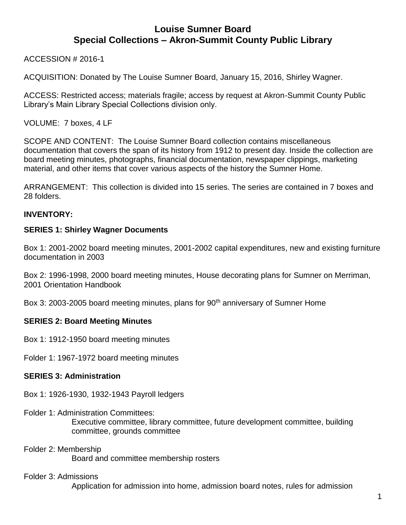ACCESSION # 2016-1

ACQUISITION: Donated by The Louise Sumner Board, January 15, 2016, Shirley Wagner.

ACCESS: Restricted access; materials fragile; access by request at Akron-Summit County Public Library's Main Library Special Collections division only.

VOLUME: 7 boxes, 4 LF

SCOPE AND CONTENT: The Louise Sumner Board collection contains miscellaneous documentation that covers the span of its history from 1912 to present day. Inside the collection are board meeting minutes, photographs, financial documentation, newspaper clippings, marketing material, and other items that cover various aspects of the history the Sumner Home.

ARRANGEMENT: This collection is divided into 15 series. The series are contained in 7 boxes and 28 folders.

## **INVENTORY:**

#### **SERIES 1: Shirley Wagner Documents**

Box 1: 2001-2002 board meeting minutes, 2001-2002 capital expenditures, new and existing furniture documentation in 2003

Box 2: 1996-1998, 2000 board meeting minutes, House decorating plans for Sumner on Merriman, 2001 Orientation Handbook

Box 3: 2003-2005 board meeting minutes, plans for 90<sup>th</sup> anniversary of Sumner Home

## **SERIES 2: Board Meeting Minutes**

Box 1: 1912-1950 board meeting minutes

Folder 1: 1967-1972 board meeting minutes

#### **SERIES 3: Administration**

Box 1: 1926-1930, 1932-1943 Payroll ledgers

- Folder 1: Administration Committees: Executive committee, library committee, future development committee, building committee, grounds committee
- Folder 2: Membership Board and committee membership rosters

#### Folder 3: Admissions

Application for admission into home, admission board notes, rules for admission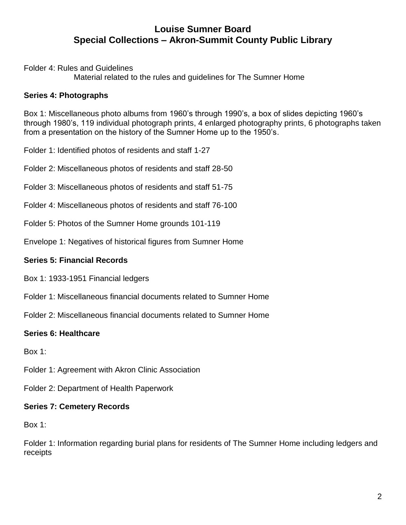Folder 4: Rules and Guidelines

Material related to the rules and guidelines for The Sumner Home

## **Series 4: Photographs**

Box 1: Miscellaneous photo albums from 1960's through 1990's, a box of slides depicting 1960's through 1980's, 119 individual photograph prints, 4 enlarged photography prints, 6 photographs taken from a presentation on the history of the Sumner Home up to the 1950's.

Folder 1: Identified photos of residents and staff 1-27

Folder 2: Miscellaneous photos of residents and staff 28-50

Folder 3: Miscellaneous photos of residents and staff 51-75

- Folder 4: Miscellaneous photos of residents and staff 76-100
- Folder 5: Photos of the Sumner Home grounds 101-119

Envelope 1: Negatives of historical figures from Sumner Home

## **Series 5: Financial Records**

Box 1: 1933-1951 Financial ledgers

- Folder 1: Miscellaneous financial documents related to Sumner Home
- Folder 2: Miscellaneous financial documents related to Sumner Home

## **Series 6: Healthcare**

Box 1:

Folder 1: Agreement with Akron Clinic Association

Folder 2: Department of Health Paperwork

## **Series 7: Cemetery Records**

Box 1:

Folder 1: Information regarding burial plans for residents of The Sumner Home including ledgers and receipts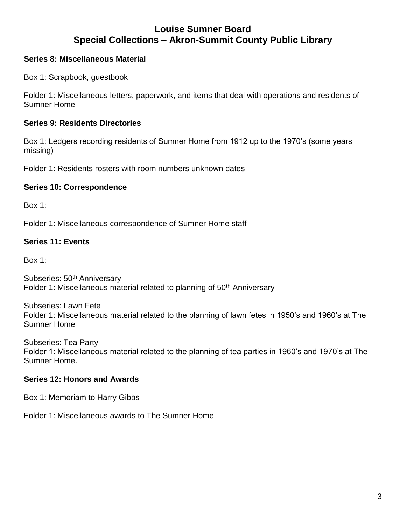### **Series 8: Miscellaneous Material**

Box 1: Scrapbook, guestbook

Folder 1: Miscellaneous letters, paperwork, and items that deal with operations and residents of Sumner Home

#### **Series 9: Residents Directories**

Box 1: Ledgers recording residents of Sumner Home from 1912 up to the 1970's (some years missing)

Folder 1: Residents rosters with room numbers unknown dates

#### **Series 10: Correspondence**

Box 1:

Folder 1: Miscellaneous correspondence of Sumner Home staff

#### **Series 11: Events**

Box 1:

Subseries: 50<sup>th</sup> Anniversary Folder 1: Miscellaneous material related to planning of 50<sup>th</sup> Anniversary

Subseries: Lawn Fete Folder 1: Miscellaneous material related to the planning of lawn fetes in 1950's and 1960's at The Sumner Home

Subseries: Tea Party Folder 1: Miscellaneous material related to the planning of tea parties in 1960's and 1970's at The Sumner Home.

## **Series 12: Honors and Awards**

Box 1: Memoriam to Harry Gibbs

Folder 1: Miscellaneous awards to The Sumner Home